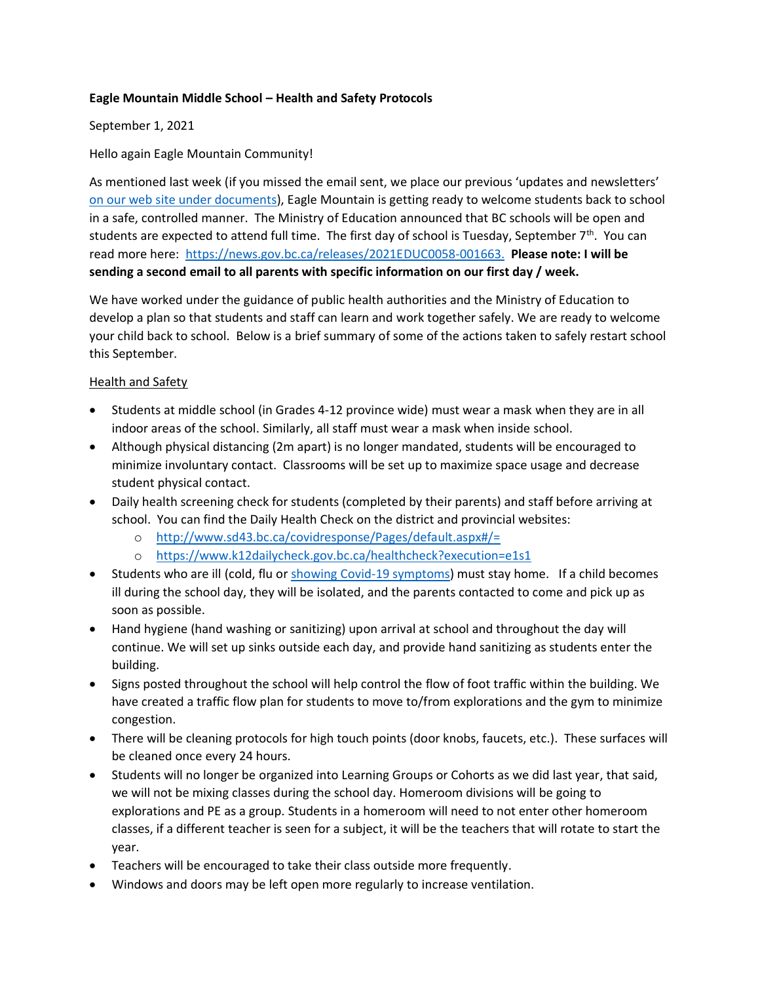#### **Eagle Mountain Middle School – Health and Safety Protocols**

### September 1, 2021

### Hello again Eagle Mountain Community!

As mentioned last week (if you missed the email sent, we place our previous 'updates and newsletters' [on our web site under documents\)](https://www.sd43.bc.ca/school/EagleMountain/Documents/Forms/AllItems.aspx#/=), Eagle Mountain is getting ready to welcome students back to school in a safe, controlled manner. The Ministry of Education announced that BC schools will be open and students are expected to attend full time. The first day of school is Tuesday, September 7<sup>th</sup>. You can read more here: [https://news.gov.bc.ca/releases/2021EDUC0058-001663.](https://news.gov.bc.ca/releases/2021EDUC0058-001663) **Please note: I will be sending a second email to all parents with specific information on our first day / week.**

We have worked under the guidance of public health authorities and the Ministry of Education to develop a plan so that students and staff can learn and work together safely. We are ready to welcome your child back to school. Below is a brief summary of some of the actions taken to safely restart school this September.

### Health and Safety

- Students at middle school (in Grades 4-12 province wide) must wear a mask when they are in all indoor areas of the school. Similarly, all staff must wear a mask when inside school.
- Although physical distancing (2m apart) is no longer mandated, students will be encouraged to minimize involuntary contact. Classrooms will be set up to maximize space usage and decrease student physical contact.
- Daily health screening check for students (completed by their parents) and staff before arriving at school. You can find the Daily Health Check on the district and provincial websites:
	- o <http://www.sd43.bc.ca/covidresponse/Pages/default.aspx#/=>
	- o <https://www.k12dailycheck.gov.bc.ca/healthcheck?execution=e1s1>
- Students who are ill (cold, flu o[r showing Covid-19 symptoms\)](http://www.bccdc.ca/health-info/diseases-conditions/covid-19/about-covid-19/symptoms) must stay home. If a child becomes ill during the school day, they will be isolated, and the parents contacted to come and pick up as soon as possible.
- Hand hygiene (hand washing or sanitizing) upon arrival at school and throughout the day will continue. We will set up sinks outside each day, and provide hand sanitizing as students enter the building.
- Signs posted throughout the school will help control the flow of foot traffic within the building. We have created a traffic flow plan for students to move to/from explorations and the gym to minimize congestion.
- There will be cleaning protocols for high touch points (door knobs, faucets, etc.). These surfaces will be cleaned once every 24 hours.
- Students will no longer be organized into Learning Groups or Cohorts as we did last year, that said, we will not be mixing classes during the school day. Homeroom divisions will be going to explorations and PE as a group. Students in a homeroom will need to not enter other homeroom classes, if a different teacher is seen for a subject, it will be the teachers that will rotate to start the year.
- Teachers will be encouraged to take their class outside more frequently.
- Windows and doors may be left open more regularly to increase ventilation.